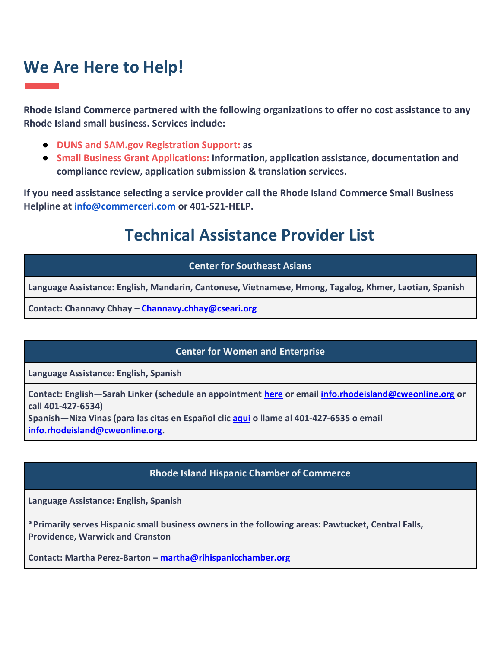# **We Are Here to Help!**

**Rhode Island Commerce partnered with the following organizations to offer no cost assistance to any Rhode Island small business. Services include:** 

- **DUNS and SAM.gov Registration Support: as**
- **Small Business Grant Applications: Information, application assistance, documentation and compliance review, application submission & translation services.**

**If you need assistance selecting a service provider call the Rhode Island Commerce Small Business Helpline at [info@commerceri.com](mailto:info@commerceri.com) or 401-521-HELP.** 

# **Technical Assistance Provider List**

# **Center for Southeast Asians**

**Language Assistance: English, Mandarin, Cantonese, Vietnamese, Hmong, Tagalog, Khmer, Laotian, Spanish**

**Contact: Channavy Chhay – [Channavy.chhay@cseari.org](mailto:Channavy.chhay@cseari.org)**

## **Center for Women and Enterprise**

**Language Assistance: English, Spanish**

**Contact: English—Sarah Linker (schedule an appointment [here](https://calendly.com/slinker-cwe) or email [info.rhodeisland@cweonline.org](mailto:info.rhodeisland@cweonline.org) or call 401-427-6534)**

**Spanish—Niza Vinas (para las citas en Espa**ñ**ol clic [aqui](https://calendly.com/nizavinas) o llame al 401-427-6535 o email [info.rhodeisland@cweonline.org.](mailto:info.rhodeisland@cweonline.org)**

# **Rhode Island Hispanic Chamber of Commerce**

**Language Assistance: English, Spanish**

**\*Primarily serves Hispanic small business owners in the following areas: Pawtucket, Central Falls, Providence, Warwick and Cranston**

**Contact: Martha Perez-Barton – [martha@rihispanicchamber.org](mailto:martha@rihispanicchamber.org)**